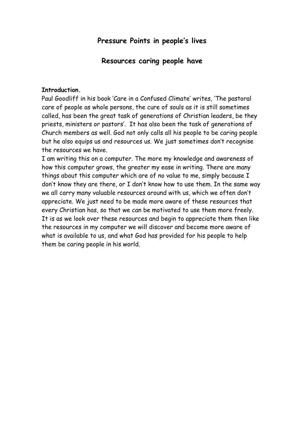# **Pressure Points in people's lives**

### **Resources caring people have**

#### **Introduction.**

Paul Goodliff in his book 'Care in a Confused Climate' writes, 'The pastoral care of people as whole persons, the cure of souls as it is still sometimes called, has been the great task of generations of Christian leaders, be they priests, ministers or pastors'. It has also been the task of generations of Church members as well. God not only calls all his people to be caring people but he also equips us and resources us. We just sometimes don't recognise the resources we have.

I am writing this on a computer. The more my knowledge and awareness of how this computer grows, the greater my ease in writing. There are many things about this computer which are of no value to me, simply because I don't know they are there, or I don't know how to use them. In the same way we all carry many valuable resources around with us, which we often don't appreciate. We just need to be made more aware of these resources that every Christian has, so that we can be motivated to use them more freely. It is as we look over these resources and begin to appreciate them then like the resources in my computer we will discover and become more aware of what is available to us, and what God has provided for his people to help them be caring people in his world.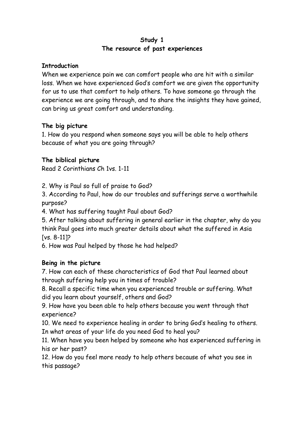### **Study 1 The resource of past experiences**

### **Introduction**

When we experience pain we can comfort people who are hit with a similar loss. When we have experienced God's comfort we are given the opportunity for us to use that comfort to help others. To have someone go through the experience we are going through, and to share the insights they have gained, can bring us great comfort and understanding.

### **The big picture**

1. How do you respond when someone says you will be able to help others because of what you are going through?

### **The biblical picture**

Read 2 Corinthians Ch 1vs. 1-11

2. Why is Paul so full of praise to God?

3. According to Paul, how do our troubles and sufferings serve a worthwhile purpose?

4. What has suffering taught Paul about God?

5. After talking about suffering in general earlier in the chapter, why do you think Paul goes into much greater details about what the suffered in Asia [vs. 8-11]?

6. How was Paul helped by those he had helped?

# **Being in the picture**

7. How can each of these characteristics of God that Paul learned about through suffering help you in times of trouble?

8. Recall a specific time when you experienced trouble or suffering. What did you learn about yourself, others and God?

9. How have you been able to help others because you went through that experience?

10. We need to experience healing in order to bring God's healing to others. In what areas of your life do you need God to heal you?

11. When have you been helped by someone who has experienced suffering in his or her past?

12. How do you feel more ready to help others because of what you see in this passage?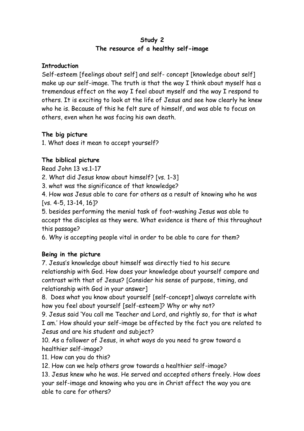### **Study 2 The resource of a healthy self-image**

### **Introduction**

Self-esteem [feelings about self] and self- concept [knowledge about self] make up our self-image. The truth is that the way I think about myself has a tremendous effect on the way I feel about myself and the way I respond to others. It is exciting to look at the life of Jesus and see how clearly he knew who he is. Because of this he felt sure of himself, and was able to focus on others, even when he was facing his own death.

### **The big picture**

1. What does it mean to accept yourself?

# **The biblical picture**

Read John 13 vs.1-17

2. What did Jesus know about himself? [vs. 1-3]

3. what was the significance of that knowledge?

4. How was Jesus able to care for others as a result of knowing who he was [vs. 4-5, 13-14, 16]?

5. besides performing the menial task of foot-washing Jesus was able to accept the disciples as they were. What evidence is there of this throughout this passage?

6. Why is accepting people vital in order to be able to care for them?

# **Being in the picture**

7. Jesus's knowledge about himself was directly tied to his secure relationship with God. How does your knowledge about yourself compare and contrast with that of Jesus? [Consider his sense of purpose, timing, and relationship with God in your answer]

8. Does what you know about yourself [self-concept] always correlate with how you feel about yourself [self-esteem]? Why or why not?

9. Jesus said 'You call me Teacher and Lord, and rightly so, for that is what I am.' How should your self-image be affected by the fact you are related to Jesus and are his student and subject?

10. As a follower of Jesus, in what ways do you need to grow toward a healthier self-image?

11. How can you do this?

12. How can we help others grow towards a healthier self-image?

13. Jesus knew who he was. He served and accepted others freely. How does your self-image and knowing who you are in Christ affect the way you are able to care for others?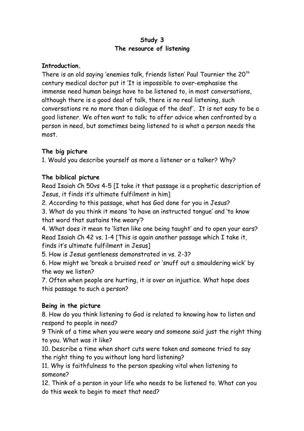### **Study 3 The resource of listening**

### **Introduction.**

There is an old saying 'enemies talk, friends listen' Paul Tournier the  $20<sup>th</sup>$ century medical doctor put it 'It is impossible to over-emphasise the immense need human beings have to be listened to, in most conversations, although there is a good deal of talk, there is no real listening, such conversations re no more than a dialogue of the deaf'. It is not easy to be a good listener. We often want to talk; to offer advice when confronted by a person in need, but sometimes being listened to is what a person needs the most.

# **The big picture**

1. Would you describe yourself as more a listener or a talker? Why?

# **The biblical picture**

Read Isaiah Ch 50vs 4-5 [I take it that passage is a prophetic description of Jesus, it finds it's ultimate fulfilment in him]

2. According to this passage, what has God done for you in Jesus?

3. What do you think it means 'to have an instructed tongue' and 'to know that word that sustains the weary'?

4. What does it mean to 'listen like one being taught' and to open your ears? Read Isaiah Ch 42 vs. 1-4 [This is again another passage which I take it, finds it's ultimate fulfilment in Jesus]

5. How is Jesus gentleness demonstrated in vs. 2-3?

6. How might we 'break a bruised reed' or 'snuff out a smouldering wick' by the way we listen?

7. Often when people are hurting, it is over an injustice. What hope does this passage to such a person?

# **Being in the picture**

8. How do you think listening to God is related to knowing how to listen and respond to people in need?

9 Think of a time when you were weary and someone said just the right thing to you. What was it like?

10. Describe a time when short cuts were taken and someone tried to say the right thing to you without long hard listening?

11. Why is faithfulness to the person speaking vital when listening to someone?

12. Think of a person in your life who needs to be listened to. What can you do this week to begin to meet that need?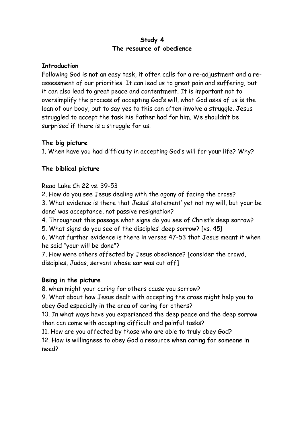### **Study 4 The resource of obedience**

### **Introduction**

Following God is not an easy task, it often calls for a re-adjustment and a reassessment of our priorities. It can lead us to great pain and suffering, but it can also lead to great peace and contentment. It is important not to oversimplify the process of accepting God's will, what God asks of us is the loan of our body, but to say yes to this can often involve a struggle. Jesus struggled to accept the task his Father had for him. We shouldn't be surprised if there is a struggle for us.

# **The big picture**

1. When have you had difficulty in accepting God's will for your life? Why?

# **The biblical picture**

# Read Luke Ch 22 vs. 39-53

2. How do you see Jesus dealing with the agony of facing the cross?

3. What evidence is there that Jesus' statement' yet not my will, but your be done' was acceptance, not passive resignation?

4. Throughout this passage what signs do you see of Christ's deep sorrow?

5. What signs do you see of the disciples' deep sorrow? [vs. 45}

6. What further evidence is there in verses 47-53 that Jesus meant it when he said "your will be done"?

7. How were others affected by Jesus obedience? [consider the crowd, disciples, Judas, servant whose ear was cut off]

# **Being in the picture**

8. when might your caring for others cause you sorrow?

9. What about how Jesus dealt with accepting the cross might help you to obey God especially in the area of caring for others?

10. In what ways have you experienced the deep peace and the deep sorrow than can come with accepting difficult and painful tasks?

11. How are you affected by those who are able to truly obey God?

12. How is willingness to obey God a resource when caring for someone in need?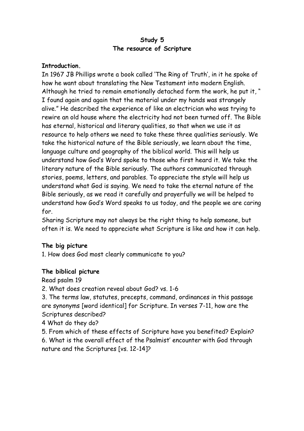### **Study 5 The resource of Scripture**

### **Introduction.**

In 1967 JB Phillips wrote a book called 'The Ring of Truth', in it he spoke of how he want about translating the New Testament into modern English. Although he tried to remain emotionally detached form the work, he put it, " I found again and again that the material under my hands was strangely alive." He described the experience of like an electrician who was trying to rewire an old house where the electricity had not been turned off. The Bible has eternal, historical and literary qualities, so that when we use it as resource to help others we need to take these three qualities seriously. We take the historical nature of the Bible seriously, we learn about the time, language culture and geography of the biblical world. This will help us understand how God's Word spoke to those who first heard it. We take the literary nature of the Bible seriously. The authors communicated through stories, poems, letters, and parables. To appreciate the style will help us understand what God is saying. We need to take the eternal nature of the Bible seriously, as we read it carefully and prayerfully we will be helped to understand how God's Word speaks to us today, and the people we are caring for.

Sharing Scripture may not always be the right thing to help someone, but often it is. We need to appreciate what Scripture is like and how it can help.

### **The big picture**

1. How does God most clearly communicate to you?

### **The biblical picture**

Read psalm 19

2. What does creation reveal about God? vs. 1-6

3. The terms law, statutes, precepts, command, ordinances in this passage are synonyms [word identical] for Scripture. In verses 7-11, how are the Scriptures described?

4 What do they do?

5. From which of these effects of Scripture have you benefited? Explain? 6. What is the overall effect of the Psalmist' encounter with God through nature and the Scriptures [vs. 12-14]?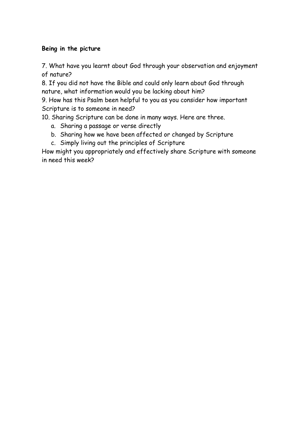### **Being in the picture**

7. What have you learnt about God through your observation and enjoyment of nature?

8. If you did not have the Bible and could only learn about God through nature, what information would you be lacking about him?

9. How has this Psalm been helpful to you as you consider how important Scripture is to someone in need?

10. Sharing Scripture can be done in many ways. Here are three.

- a. Sharing a passage or verse directly
- b. Sharing how we have been affected or changed by Scripture
- c. Simply living out the principles of Scripture

How might you appropriately and effectively share Scripture with someone in need this week?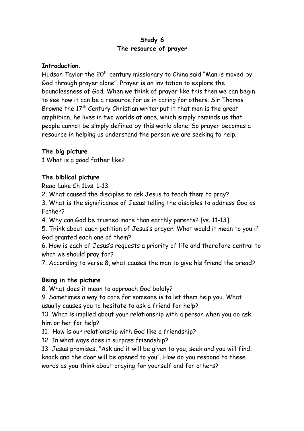### **Study 6 The resource of prayer**

#### **Introduction.**

Hudson Taylor the 20<sup>th</sup> century missionary to China said "Man is moved by God through prayer alone". Prayer is an invitation to explore the boundlessness of God. When we think of prayer like this then we can begin to see how it can be a resource for us in caring for others. Sir Thomas Browne the  $17<sup>th</sup>$  Century Christian writer put it that man is the great amphibian, he lives in two worlds at once. which simply reminds us that people cannot be simply defined by this world alone. So prayer becomes a resource in helping us understand the person we are seeking to help.

### **The big picture**

1 What is a good father like?

### **The biblical picture**

Read Luke Ch 11vs. 1-13.

2. What caused the disciples to ask Jesus to teach them to pray?

3. What is the significance of Jesus telling the disciples to address God as Father?

4. Why can God be trusted more than earthly parents? [vs. 11-13]

5. Think about each petition of Jesus's prayer. What would it mean to you if God granted each one of them?

6. How is each of Jesus's requests a priority of life and therefore central to what we should pray for?

7. According to verse 8, what causes the man to give his friend the bread?

### **Being in the picture**

8. What does it mean to approach God boldly?

9. Sometimes a way to care for someone is to let them help you. What usually causes you to hesitate to ask a friend for help?

10. What is implied about your relationship with a person when you do ask him or her for help?

11. How is our relationship with God like a friendship?

12. In what ways does it surpass friendship?

13. Jesus promises, "Ask and it will be given to you, seek and you will find, knock and the door will be opened to you". How do you respond to these words as you think about praying for yourself and for others?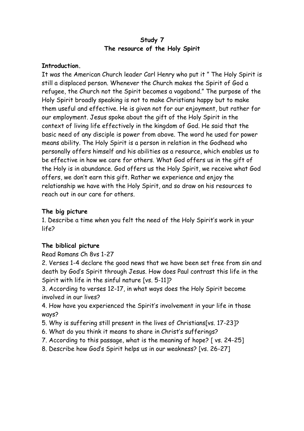### **Study 7 The resource of the Holy Spirit**

### **Introduction.**

It was the American Church leader Carl Henry who put it " The Holy Spirit is still a displaced person. Whenever the Church makes the Spirit of God a refugee, the Church not the Spirit becomes a vagabond." The purpose of the Holy Spirit broadly speaking is not to make Christians happy but to make them useful and effective. He is given not for our enjoyment, but rather for our employment. Jesus spoke about the gift of the Holy Spirit in the context of living life effectively in the kingdom of God. He said that the basic need of any disciple is power from above. The word he used for power means ability. The Holy Spirit is a person in relation in the Godhead who personally offers himself and his abilities as a resource, which enables us to be effective in how we care for others. What God offers us in the gift of the Holy is in abundance. God offers us the Holy Spirit, we receive what God offers, we don't earn this gift. Rather we experience and enjoy the relationship we have with the Holy Spirit, and so draw on his resources to reach out in our care for others.

### **The big picture**

1. Describe a time when you felt the need of the Holy Spirit's work in your life?

### **The biblical picture**

Read Romans Ch 8vs 1-27

2. Verses 1-4 declare the good news that we have been set free from sin and death by God's Spirit through Jesus. How does Paul contrast this life in the Spirit with life in the sinful nature [vs. 5-11]?

3. According to verses 12-17, in what ways does the Holy Spirit become involved in our lives?

4. How have you experienced the Spirit's involvement in your life in those ways?

- 5. Why is suffering still present in the lives of Christians[vs. 17-23]?
- 6. What do you think it means to share in Christ's sufferings?
- 7. According to this passage, what is the meaning of hope? [ vs. 24-25]
- 8. Describe how God's Spirit helps us in our weakness? [vs. 26-27]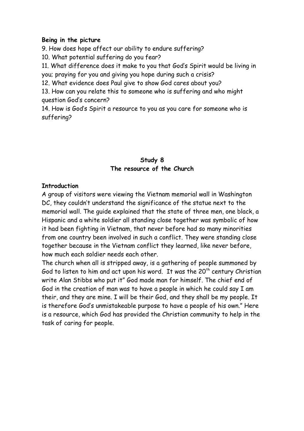#### **Being in the picture**

9. How does hope affect our ability to endure suffering?

10. What potential suffering do you fear?

11. What difference does it make to you that God's Spirit would be living in you; praying for you and giving you hope during such a crisis?

12. What evidence does Paul give to show God cares about you?

13. How can you relate this to someone who is suffering and who might question God's concern?

14. How is God's Spirit a resource to you as you care for someone who is suffering?

### **Study 8 The resource of the Church**

#### **Introduction**

A group of visitors were viewing the Vietnam memorial wall in Washington DC, they couldn't understand the significance of the statue next to the memorial wall. The guide explained that the state of three men, one black, a Hispanic and a white soldier all standing close together was symbolic of how it had been fighting in Vietnam, that never before had so many minorities from one country been involved in such a conflict. They were standing close together because in the Vietnam conflict they learned, like never before, how much each soldier needs each other.

The church when all is stripped away, is a gathering of people summoned by God to listen to him and act upon his word. It was the  $20<sup>th</sup>$  century Christian write Alan Stibbs who put it" God made man for himself. The chief end of God in the creation of man was to have a people in which he could say I am their, and they are mine. I will be their God, and they shall be my people. It is therefore God's unmistakeable purpose to have a people of his own." Here is a resource, which God has provided the Christian community to help in the task of caring for people.